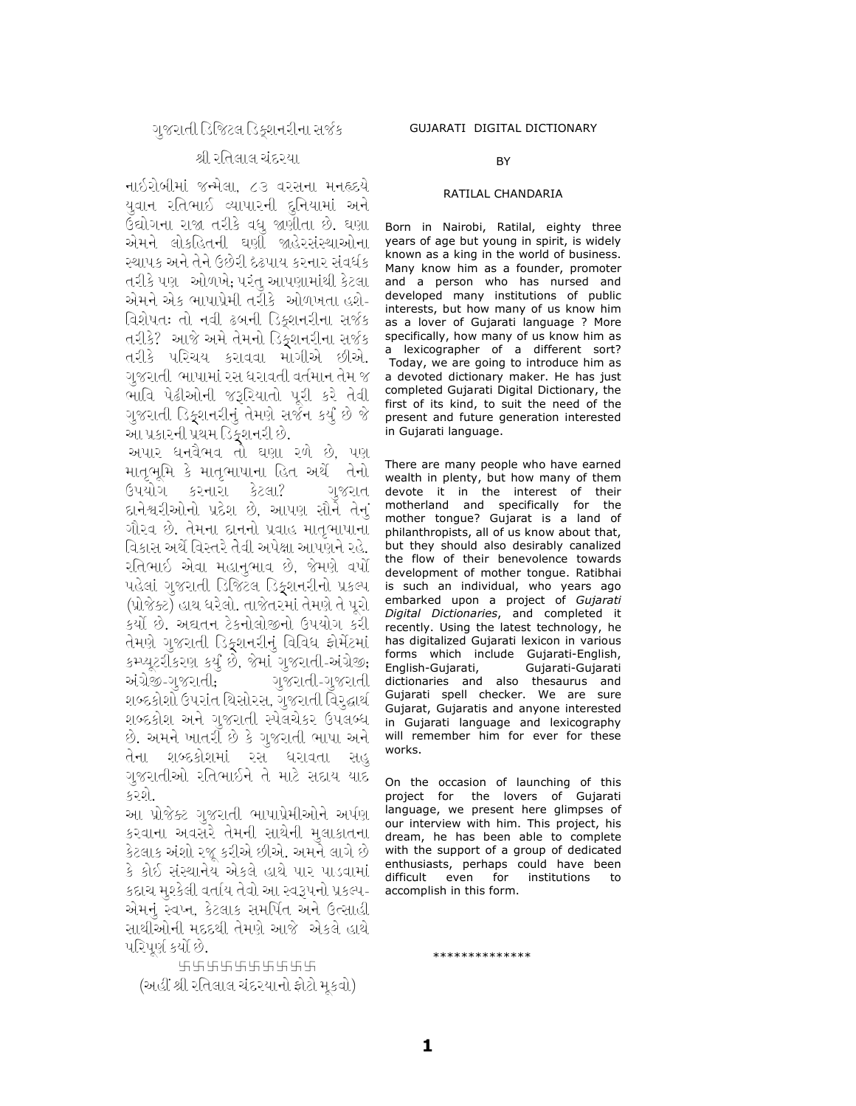## શ્રી રતિલાલ ચંદ્દરયા.

નાઇરોબીમાં જન્મેલા. ૮૩ વરસના મનહૃદયે યવાન રતિભાઈ વ્યાપારની દુનિયામાં અને ઉદ્યોગના રાજા તરીકે વધ જાણીતા છે. ઘણા એમને લોકહિતની ઘણી જાહેરસંસ્થાઓના સ્થાપક અને તેને ઉછેરી દઢપાય કરનાર સંવર્ધક તરીકે પણ - ઓળખે, પરંતુ આપણામાંથી કેટલા -એમને એક ભાષાપ્રેમી તરીકે ઓળખતા હશે-વિશેષતઃ તો નવી ઢબની ડિક્શનરીના સર્જક તરીકે? આજે અમે તેમનો ડિક્શનરીના સર્જક તરીકે પરિચય કરાવવા માગીએ છીએ. ગુજરાતી ભાષામાં રસ ધરાવતી વર્તમાન તેમ જ ભાવિ પેઢીઓની જરૂરિયાતો પુરી કરે તેવી ગુજરાતી ડિકુશનરીનું તેમણે સર્જન કર્યું છે જે આ પ્રકારની પ્રથમ ડિકુશનરી છે.

અપાર ધનવૈભવ તો ઘણા રળે છે, પણ માતૃભૂમિ કે માતૃભાષાના હિત અર્થે તેનો ઉપયોગ કરનારા કેટલા? ગુજરાત દાનેશ્વરીઓનો પ્રદેશ છે. આપણ સૌને તેનું ગૌરવ છે. તેમના દાનનો પ્રવાહ માતૃભાષાના વિકાસ અર્થે વિસ્તરે તેવી અપેક્ષા આપણને રહે. રતિભાઇ એવા મહાનુભાવ છે, જેમણે વર્ષો પહેલાં ગુજરાતી ડિજિટલ ડિક્શનરીનો પ્રકલ્પ (પ્રોજેક્ટ) હાથ ધરેલો. તાજેતરમાં તેમણે તે પુરો કર્યો છે. અદ્યતન ટેકનોલોજીનો ઉપયોગ કરી તેમણે ગુજરાતી ડિકુશનરીનું વિવિધ ફોર્મેટમાં કમ્પ્યૂટરીકરણ કર્યું છે, જેમાં ગુજરાતી-અંગ્રેજી; અંગ્રેજી-ગુજરાતી; ાજરાતી-ગુજરાતી શબ્દકોશો ઉપરાંત થિસોરસ, ગુજરાતી વિરૃદ્ધાર્થ શબ્દકોશ અને ગુજરાતી સ્પેલચેકર ઉપલબ્ધ છે. અમને ખાતરી છે કે ગુજરાતી ભાષા અને તેના શબ્દકોશમાં રસ ધરાવતા સહ ગુજરાતીઓ રતિભાઈને તે માટે સદાય યાદ કરશે.

આ પ્રોજેક્ટ ગુજરાતી ભાષાપ્રેમીઓને અર્પણ કરવાના અવસરે તેમની સાથેની મુલાકાતના કેટલાક અંશો રજૂ કરીએ છીએ. અમને લાગે છે કે કોઈ સંસ્થાનેય એકલે હાથે પાર પાડવામાં કદાચ મુશ્કેલી વર્તાય તેવો આ સ્વરૂપનો પ્રકલ્પ-એમનં સ્વપ્ન. કેટલાક સમર્પિત અને ઉત્સાહી સાથીઓની મદદથી તેમણે આજે એકલે હાથે પરિપર્ણ કર્યાં છે.

5555555555 (અહીં શ્રી રતિલાલ ચંદરયાનો ફોટો મૂકવો)

## **BY**

## RATILAL CHANDARIA

Born in Nairobi, Ratilal, eighty three years of age but young in spirit, is widely known as a king in the world of business. Many know him as a founder, promoter and a person who has nursed and developed many institutions of public interests, but how many of us know him as a lover of Gujarati language ? More specifically, how many of us know him as a lexicographer of a different sort? Today, we are going to introduce him as a devoted dictionary maker. He has just completed Gujarati Digital Dictionary, the first of its kind, to suit the need of the present and future generation interested in Gujarati language.

There are many people who have earned wealth in plenty, but how many of them devote it in the interest of their motherland and specifically for the mother tongue? Gujarat is a land of philanthropists, all of us know about that, but they should also desirably canalized the flow of their benevolence towards development of mother tongue. Ratibhai is such an individual, who years ago embarked upon a project of Gujarati Digital Dictionaries, and completed it recently. Using the latest technology, he has digitalized Gujarati lexicon in various forms which include Gujarati-English, English-Gujarati, Gujarati-Gujarati dictionaries and also thesaurus and Gujarati spell checker. We are sure Gujarat, Gujaratis and anyone interested in Gujarati language and lexicography will remember him for ever for these works.

On the occasion of launching of this project for the lovers of Gujarati language, we present here glimpses of our interview with him. This project, his dream, he has been able to complete with the support of a group of dedicated enthusiasts, perhaps could have been difficult even for institutions to accomplish in this form.

\*\*\*\*\*\*\*\*\*\*\*\*\*\*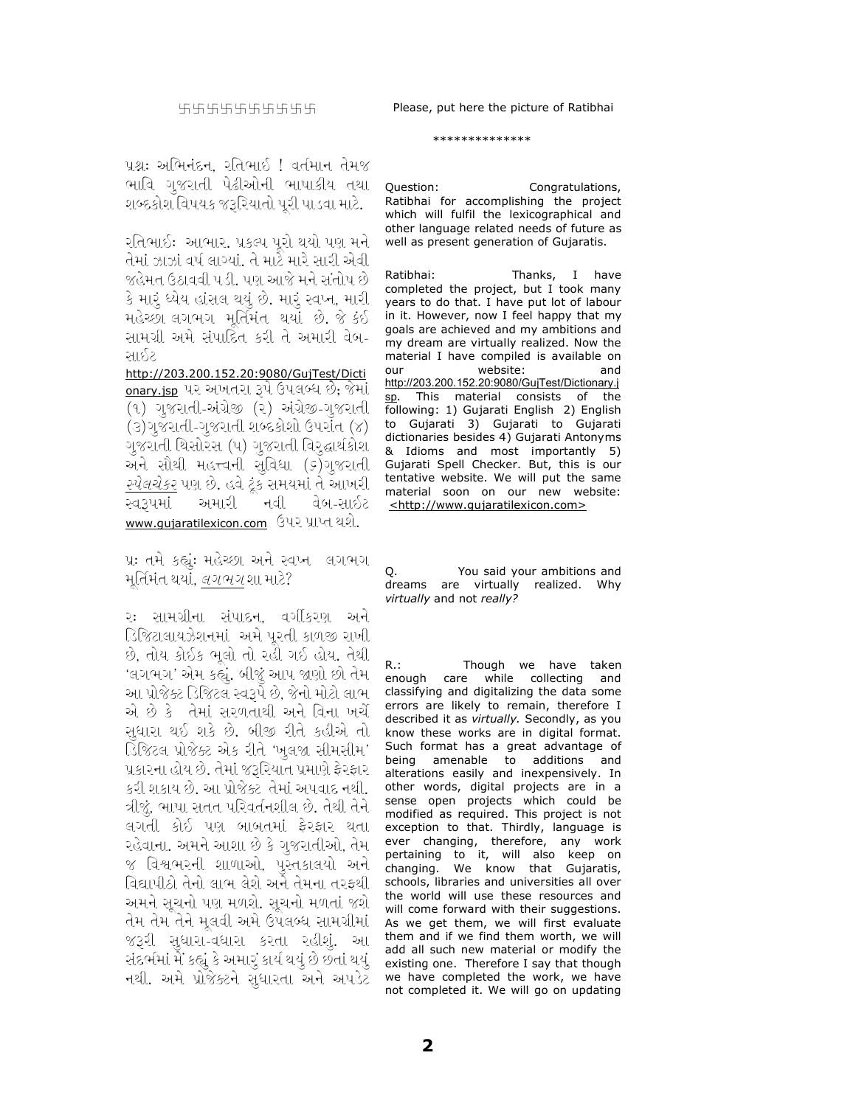## \*\*\*\*\*\*\*\*\*\*\*\*\*\*

પ્રશ્નઃ અભિનંદન. રતિભાઈ ! વર્તમાન તેમજ ભાવિ ગુજરાતી પેઢીઓની ભાષાકીય તથા શબ્દકોશ વિષયક જરૂરિયાતો પૂરી પાડવા માટે.

રતિભાઈઃ આભાર. પ્રકલ્પ પૂરો થયો પણ મને તેમાં ઝાઝાં વર્ષ લાગ્યાં. તે માટે મારે સારી એવી જહેમત ઉઠાવવી પડી. પણ આજે મને સંતોષ છે કે મારૂં ધ્યેય હાંસલ થયું છે. મારૂં સ્વપ્ન, મારી મહેચ્છા લગભગ મર્તિમંત થયાં છે. જે કંઈ સામગ્રી અમે સંપાદિત કરી તે અમારી વેબ-સાઈટ

http://203.200.152.20:9080/GujTest/Dicti <u>onary.jsp</u> પર અખતરા રૂપે ઉપલબ્ધ છે; જેમાં (૧) ગુજરાતી-અંગ્રેજી (૨) અંગ્રેજી-ગુજરાતી (૩)ગુજરાતી-ગુજરાતી શબ્દકોશો ઉપરાંત (૪) ગુજરાતી થિસોરસ (૫) ગુજરાતી વિરૃદ્ધાર્થકોશ અને સૌથી મહત્ત્વની સુવિધા (ક)ગુજરાતી *સ્પેલચેકર* પણ છે. હવે ટૂંક સમયમાં તે આખરી અમારી નવી સ્વ૩૫માં વેબ-સાઇટ www.gujaratilexicon.com ઉપર પ્રાપ્ત થશે.

પ્ર: તમે કહ્યું: મહેચ્છા અને સ્વપ્ન લગભગ મૂર્તિમંત થયાં, *લગભગ* શા માટે?

રઃ સામગ્રીના સંપાદન, વર્ગીકરણ અને ડિજિટાલાયઝેશનમાં અમે પુરતી કાળજી રાખી છે, તોય કોઈક ભૂલો તો રહી ગઈ હોય. તેથી 'લગભગ' એમ કહ્યું. બીજું આપ જાણો છો તેમ આ પ્રોજેક્ટ ડિજિટલ સ્વરૂપે છે, જેનો મોટો લાભ એ છે કે તેમાં સરળતાથી અને વિના ખર્ચે સુધારા થઈ શકે છે. બીજી રીતે કહીએ તો ડિજિટલ પ્રોજેક્ટ એક રીતે 'ખુલજા સીમસીમ' પ્રકારના હોય છે. તેમાં જરૂરિયાત પ્રમાણે ફેરફાર કરી શકાય છે. આ પ્રોજેક્ટ તેમાં અપવાદ નથી. ત્રીજું, ભાષા સતત પરિવર્તનશીલ છે. તેથી તેને લગતી કોઈ પણ બાબતમાં ફેરફાર થતા રહેવાના. અમને આશા છે કે ગુજરાતીઓ, તેમ જ વિશ્વભરની શાળાઓ, પુસ્તકાલયો અને વિદ્યાપીઠો તેનો લાભ લેશે અને તેમના તરફથી અમને સચનો પણ મળશે. સચનો મળતાં જશે તેમ તેમ તેને મૂલવી અમે ઉપલબ્ધ સામગ્રીમાં જરૂરી સુધારા-વધારા કરતા રહીશું. આ સંદર્ભમાં મેં કહ્યું કે અમારું કાર્ય થયું છે છતાં થયું, નથી. અમે પ્રોજેક્ટને સુધારતા અને અપડેટ

Question: Congratulations, Ratibhai for accomplishing the project which will fulfil the lexicographical and other language related needs of future as well as present generation of Gujaratis.

Ratibhai: Thanks, I have completed the project, but I took many years to do that. I have put lot of labour in it. However, now I feel happy that my goals are achieved and my ambitions and my dream are virtually realized. Now the material I have compiled is available on website: and  $011r$ http://203.200.152.20:9080/GujTest/Dictionary.j This material consists of the following: 1) Gujarati English 2) English Gujarati 3) Gujarati to Gujarati to dictionaries besides 4) Gujarati Antonyms & Idioms and most importantly 5) Gujarati Spell Checker. But, this is our tentative website. We will put the same material soon on our new website: <http://www.qujaratilexicon.com>

You said your ambitions and dreams are virtually realized. Why virtually and not really?

Though we have taken  $R:$ enough care while collecting and classifying and digitalizing the data some errors are likely to remain, therefore I described it as virtually. Secondly, as you know these works are in digital format. Such format has a great advantage of being amenable to additions and alterations easily and inexpensively. In other words, digital projects are in a sense open projects which could be modified as required. This project is not exception to that. Thirdly, language is ever changing, therefore, any work pertaining to it, will also keep on<br>changing. We know that Gujaratis, schools, libraries and universities all over the world will use these resources and will come forward with their suggestions. As we get them, we will first evaluate them and if we find them worth, we will add all such new material or modify the existing one. Therefore I say that though we have completed the work, we have not completed it. We will go on updating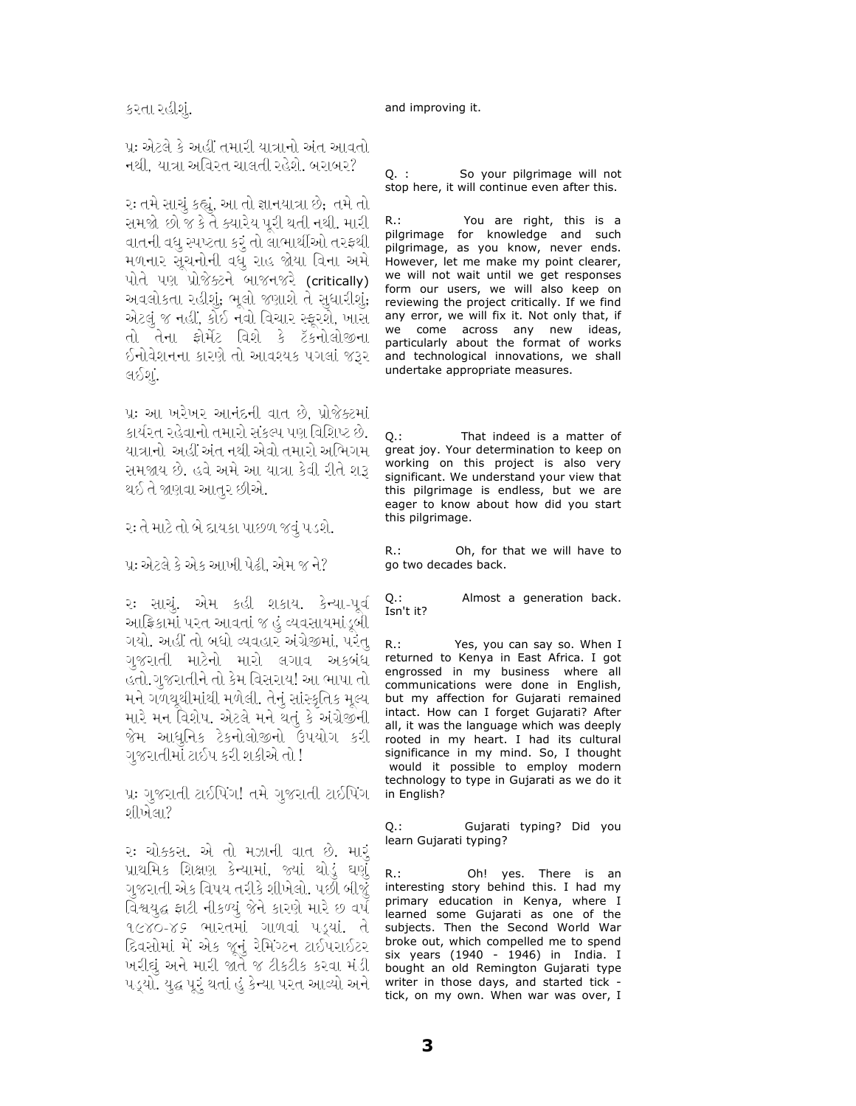પ્રઃ એટલે કે અહીં તમારી યાત્રાનો અંત આવતો નથી, યાત્રા અવિરત ચાલતી રહેશે. બરાબર?

રઃ તમે સાચું કહ્યું, આ તો જ્ઞાનયાત્રા છે; તમે તો સમજો છો જ કે તે ક્યારેય પૂરી થતી નથી. મારી વાતની વધુ સ્પષ્ટતા કરૂં તો લાભાર્થીઓ તરફથી મળનાર સૂચનોની વધુ રાહ જોયા વિના અમે પોતે પણ પ્રોજેક્ટને બાજનજરે (critically) અવલોકતા રહીશું, ભૂલો જણાશે તે સુધારીશું, એટલું જ નહીં, કોઈ નવો વિચાર સ્ફૂરશે, ખાસ તો તેના ફોર્મેટ વિશે કે ટૅકનોલોજીના ઈનોવેશનના કારણે તો આવશ્યક પગલાં જરૂર લઈશું.

પ્રઃ આ ખરેખર આનંદની વાત છે, પ્રોજેક્ટમાં કાર્યરત રહેવાનો તમારો સંકલ્પ પણ વિશિષ્ટ છે. યાત્રાનો અહીં અંત નથી એવો તમારો અભિગમ સમજાય છે. હવે અમે આ યાત્રા કેવી રીતે શરૂ થઈ તે જાણવા આતુર છીએ.

ર: તે માટે તો બે દાયકા પાછળ જવું પડશે.

પ્ર: એટલે કે એક આખી પેઢી. એમ જ ને?

૨: સાચું. એમ કહી શકાય. કેન્યા-પૂર્વ આફ્રિકામાં પરત આવતાં જ હું વ્યવસાયમાંડૂબી ગયો. અહીં તો બધો વ્યવહાર અંગ્રેજીમાં, પરંતુ ગુજરાતી માટેનો મારો લગાવ અકબંધ હતો.ગુજરાતીને તો કેમ વિસરાય! આ ભાષા તો મને ગળથૄથીમાંથી મળેલી. તેનું સાંસ્કૃતિક મુલ્ય મારે મન વિશેષ. એટલે મને થતું કે અંગ્રેજીની જેમ આધુનિક ટેકનોલોજીનો ઉપયોગ કરી ગુજરાતીમાં ટાઈપ કરી શકીએ તો !

પ્રઃ ગુજરાતી ટાઈપિંગ! તમે ગુજરાતી ટાઈપિંગ શીખેલા?

રઃ ચોક્કસ. એ તો મઝાની વાત છે. મારૂં પ્રાથમિક શિક્ષણ કેન્યામાં, જ્યાં થોડું ઘણું ગુજરાતી એક વિષય તરીકે શીખેલો. પછી બીજું વિશ્વયુદ્ધ ફાટી નીકળ્યું જેને કારણે મારે છ વર્ષ ૧૯૪૦-૪૬ ભારતમાં ગાળવાં પડ્યાં. તે દિવસોમાં મેં એક જૂનું રેમિંગ્ટન ટાઈપરાઈટર ખરીદ્યું અને મારી જાતે જ ટીકટીક કરવા મંડી પડ્યો. યુદ્ધ પૂરૂં થતાં હું કેન્યા પરત આવ્યો અને

 $Q.$ : So your pilgrimage will not stop here, it will continue even after this.

 $R.$ : You are right, this is a pilgrimage for knowledge and such pilgrimage, as you know, never ends. However, let me make my point clearer, we will not wait until we get responses form our users, we will also keep on reviewing the project critically. If we find any error, we will fix it. Not only that, if we come across any new ideas, particularly about the format of works and technological innovations, we shall undertake appropriate measures.

That indeed is a matter of  $\Omega$ . great joy. Your determination to keep on working on this project is also very significant. We understand your view that this pilgrimage is endless, but we are eager to know about how did you start this pilgrimage.

Oh, for that we will have to  $R_{\cdot}$ : go two decades back.

Q.:<br>Isn't it? Almost a generation back.

 $R$ .: Yes, you can say so. When I returned to Kenya in East Africa. I got engrossed in my business where all communications were done in English, but my affection for Gujarati remained intact. How can I forget Gujarati? After all, it was the language which was deeply rooted in my heart. I had its cultural significance in my mind. So, I thought would it possible to employ modern technology to type in Gujarati as we do it in English?

Gujarati typing? Did you  $O.:$ learn Gujarati typing?

 $R:$ Oh! yes. There is an interesting story behind this. I had my primary education in Kenya, where I learned some Gujarati as one of the subjects. Then the Second World War broke out, which compelled me to spend six years (1940 - 1946) in India. I bought an old Remington Gujarati type writer in those days, and started tick tick, on my own. When war was over, I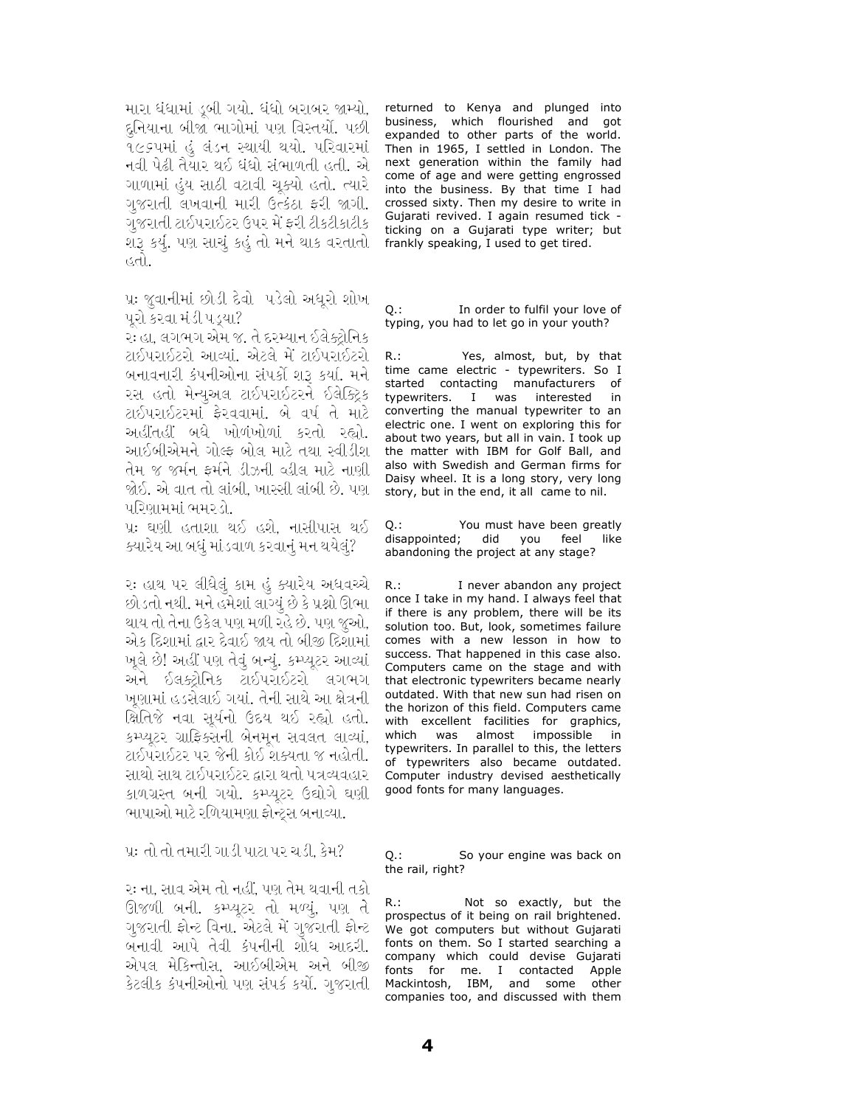મારા ધંધામાં ડબી ગયો. ધંધો બરાબર જામ્યો, દુનિયાના બીજા ભાગોમાં પણ વિસ્તર્યો. પછી ૧૯૬૫માં હું લંડન સ્થાયી થયો. પરિવારમાં નવી પેઢી તૈયાર થઈ ધંધો સંભાળતી હતી. એ ગાળામાં હુંય સાઠી વટાવી ચુક્યો હતો. ત્યારે ગુજરાતી લખવાની મારી ઉત્કંઠા ફરી જાગી. ગુજરાતી ટાઈપરાઈટર ઉપર મેં ફરી ટીકટીકાટીક શરૂ કર્યું. પણ સાચું કહું તો મને થાક વરતાતો હતો.

પ્રઃ જુવાનીમાં છોડી દેવો પડેલો અધૂરો શોખ પરો કરવા મંડી પડયા?

રઃ હા. લગભગ એમ જ. તે દરમ્યાન ઈલેક્ટોનિક ટાઈપરાઈટરો આવ્યાં. એટલે મેં ટાઈપરાઈટરો બનાવનારી કંપનીઓના સંપર્કી શરૂ કર્યા. મને રસ હતો મેન્યુઅલ ટાઈપરાઈટરને ઈલેક્ટ્રિક ટાઈપરાઈટરમાં ફેરવવામાં. બે વર્ષ તે માટે અહીંતહીં બધે ખોળંખોળાં કરતો રહ્યો. આઈબીએમને ગોલ્ફ બોલ માટે તથા સ્વીડીશ તેમ જ જર્મન ફર્મને ડીઝની વ્હીલ માટે નાણી જોઈ. એ વાત તો લાંબી, ખાસ્સી લાંબી છે. પણ પરિણામમાં ભમરડો.

પ્રઃ ઘણી હતાશા થઈ હશે. નાસીપાસ થઈ ક્યારેય આ બધું માંડવાળ કરવાનું મન થયેલું?

રઃ હાથ ૫૨ લીધેલું કામ હું ક્યારેય અધવચ્ચે છોડતો નથી. મને હમેશાં લાગ્યું છે કે પ્રશ્નો ઊભા થાય તો તેના ઉકેલ પણ મળી રહે છે. પણ જૂઓ, એક દિશામાં દ્વાર દેવાઈ જાય તો બીજી દિશામાં ખૂલે છે! અહીં પણ તેવું બન્યું. કમ્પ્યૂટર આવ્યાં અને ઈલક્ટ્રોનિક ટાઈપરાઈટરો લગભગ ખુણામાં હડસેલાઈ ગયાં. તેની સાથે આ ક્ષેત્રની ક્ષિતિજે નવા સુર્યનો ઉદય થઈ રહ્યો હતો. કમ્પ્યૂટર ગ્રાફિક્સની બેનમૂન સવલત લાવ્યાં, ટાઈપરાઈટર પર જેની કોઈ શક્યતા જ નહોતી. સાથો સાથ ટાઈપરાઈટર દ્વારા થતો પત્રવ્યવહાર કાળગ્રસ્ત બની ગયો. કમ્પ્યુટર ઉદ્યોગે ઘણી ભાષાઓ માટે રળિયામણા ફોન્ટ્સ બનાવ્યા.

પ્ર: તો તો તમારી ગાડી પાટા પર ચડી, કેમ?

રઃ ના, સાવ એમ તો નહીં, પણ તેમ થવાની તકો ઊજળી બની. કમ્પ્યુટર તો મળ્યું, પણ તે ગુજરાતી ફોન્ટ વિના. એટલે મેં ગુજરાતી ફોન્ટ બનાવી આપે તેવી કંપનીની શોધ આદરી. એપલ મેકિન્તોસ, આઈબીએમ અને બીજી કેટલીક કંપનીઓનો પણ સંપર્ક કર્યો. ગુજરાતી returned to Kenya and plunged into business, which flourished and got expanded to other parts of the world. Then in 1965, I settled in London. The next generation within the family had come of age and were getting engrossed into the business. By that time I had crossed sixty. Then my desire to write in Gujarati revived. I again resumed tick ticking on a Gujarati type writer; but frankly speaking, I used to get tired.

In order to fulfil your love of O.: typing, you had to let go in your youth?

 $R.:$ Yes, almost, but, by that time came electric - typewriters. So I started contacting manufacturers of typewriters. I was interested in converting the manual typewriter to an electric one. I went on exploring this for about two years, but all in vain. I took up the matter with IBM for Golf Ball, and also with Swedish and German firms for Daisy wheel. It is a long story, very long story, but in the end, it all came to nil.

0 : You must have been greatly disappointed; did you feel like abandoning the project at any stage?

 $R_{\cdot}$ : I never abandon any project once I take in my hand. I always feel that if there is any problem, there will be its solution too. But, look, sometimes failure comes with a new lesson in how to success. That happened in this case also. Computers came on the stage and with that electronic typewriters became nearly outdated. With that new sun had risen on the horizon of this field. Computers came with excellent facilities for graphics, which was almost impossible - in typewriters. In parallel to this, the letters of typewriters also became outdated. Computer industry devised aesthetically good fonts for many languages.

So your engine was back on Q.: the rail, right?

 $R$ .: Not so exactly, but the prospectus of it being on rail brightened. We got computers but without Gujarati fonts on them. So I started searching a company which could devise Gujarati fonts for me. I contacted Apple Mackintosh, IBM, and some other companies too, and discussed with them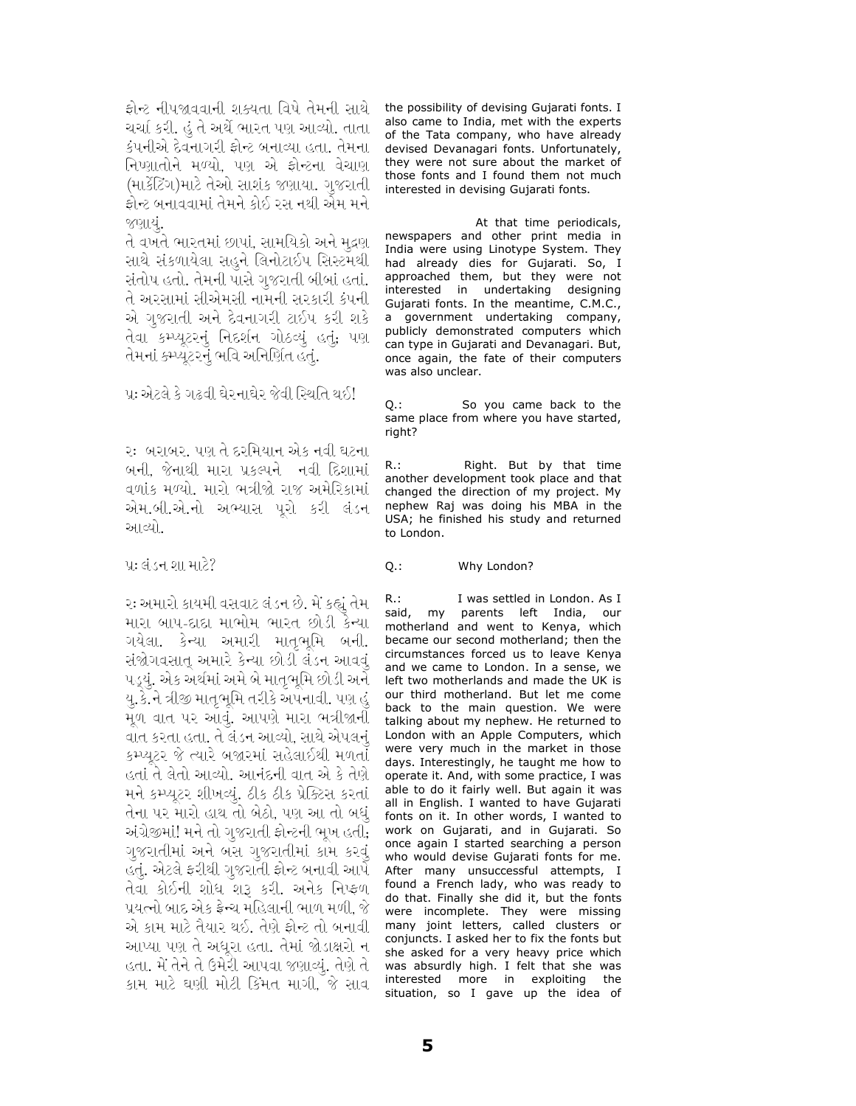ફોન્ટ નીપજાવવાની શક્યતા વિષે તેમની સાથે ચર્ચા કરી. હું તે અર્થે ભારત પણ આવ્યો. તાતા કંપનીએ દેવનાગરી ફોન્ટ બનાવ્યા હતા. તેમના નિષ્ણાતોને મળ્યો, પણ એ ફ્રોન્ટના વેચાણ (માર્કેટિંગ)માટે તેઓ સાશંક જણાયા. ગુજરાતી ફોન્ટ બનાવવામાં તેમને કોઈ રસ નથી એમ મને જણાયં.

તે વખતે ભારતમાં છાપાં, સામયિકો અને મુદ્રણ સાથે સંકળાયેલા સહુને લિનોટાઈપ સિસ્ટમથી સંતોષ હતો. તેમની પાસે ગુજરાતી બીબાં હતાં. તે અરસામાં સીએમસી નામની સરકારી કંપની એ ગજરાતી અને દેવનાગરી ટાઈપ કરી શકે તેવા કમ્પ્યૂટરનું નિદર્શન ગોઠવ્યું હતું; પણ તેમનાં કમ્પ્યુટરનું ભવિ અનિર્ણિત હતું.

પૂ: એટલે કે ગઢવી ઘેર નાઘેર જેવી સ્થિતિ થઈ!

રઃ બરાબર. પણ તે દરમિયાન એક નવી ઘટના બની, જેનાથી મારા પ્રકલ્પને નવી દિશામાં વળાંક મળ્યો. મારો ભત્રીજો રાજ અમેરિકામાં એમ.બી.એ.નો અભ્યાસ પૂરો કરી લંડન આવ્યો.

પ્ર: લંડન શા માટે?

૨: અમારો કાયમી વસવાટ લંડન છે. મેં કહ્યું તેમ મારા બાપ-દાદા માભોમ ભારત છોડી કેન્યા ગયેલા. કેન્યા અમારી માતૃભૂમિ બની. સંજોગવસાત્ અમારે કેન્યા છોડી લંડન આવવું પડ્યું. એક અર્થમાં અમે બે માતૃભૂમિ છોડી અને યુ.કે.ને ત્રીજી માતૃભૂમિ તરીકે અપનાવી. પણ હું મૂળ વાત પર આવું. આપણે મારા ભત્રીજાની વાત કરતા હતા. તે લંડન આવ્યો, સાથે એપલનું કમ્પ્યુટર જે ત્યારે બજારમાં સહેલાઈથી મળતાં હતાં તે લેતો આવ્યો. આનંદની વાત એ કે તેણે મને કમ્પ્યૂટર શીખવ્યું. ઠીક ઠીક પ્રેક્ટિસ કરતાં તેના પર મારો હાથ તો બેઠો, પણ આ તો બધું અંગ્રેજીમાં! મને તો ગુજરાતી ફોન્ટની ભૂખ હતી**,** ગુજરાતીમાં અને બસ ગુજરાતીમાં કામ કરવું હતું. એટલે ફરીથી ગુજરાતી ફોન્ટ બનાવી આપે તેવા કોઈની શોધ શરૂ કરી. અનેક નિષ્ફળ પ્રયત્નો બાદ એક ફ્રેન્ચ મહિલાની ભાળ મળી, જે એ કામ માટે તૈયાર થઈ. તેણે ફોન્ટ તો બનાવી આપ્યા પણ તે અધૂરા હતા. તેમાં જોડાક્ષરો ન હતા. મેં તેને તે ઉમેરી આપવા જણાવ્યું. તેણે તે કામ માટે ઘણી મોટી કિંમત માગી, જે સાવ

the possibility of devising Gujarati fonts. I also came to India, met with the experts of the Tata company, who have already devised Devanagari fonts. Unfortunately, they were not sure about the market of those fonts and I found them not much interested in devising Gujarati fonts.

At that time periodicals, newspapers and other print media in India were using Linotype System. They had already dies for Gujarati. So, I approached them, but they were not interested in undertaking designing Gujarati fonts. In the meantime, C.M.C., a government undertaking company, publicly demonstrated computers which can type in Gujarati and Devanagari. But, once again, the fate of their computers was also unclear.

Q.: So you came back to the same place from where you have started, right?

R.: Right. But by that time another development took place and that changed the direction of my project. My nephew Raj was doing his MBA in the USA; he finished his study and returned to London.

Q.: Why London?

R.: I was settled in London. As I said, my parents left India, our motherland and went to Kenya, which became our second motherland; then the circumstances forced us to leave Kenya and we came to London. In a sense, we left two motherlands and made the UK is our third motherland. But let me come back to the main question. We were talking about my nephew. He returned to London with an Apple Computers, which were very much in the market in those days. Interestingly, he taught me how to operate it. And, with some practice, I was able to do it fairly well. But again it was all in English. I wanted to have Gujarati fonts on it. In other words, I wanted to work on Gujarati, and in Gujarati. So once again I started searching a person who would devise Gujarati fonts for me. After many unsuccessful attempts, I found a French lady, who was ready to do that. Finally she did it, but the fonts were incomplete. They were missing many joint letters, called clusters or conjuncts. I asked her to fix the fonts but she asked for a very heavy price which was absurdly high. I felt that she was interested more in exploiting the situation, so I gave up the idea of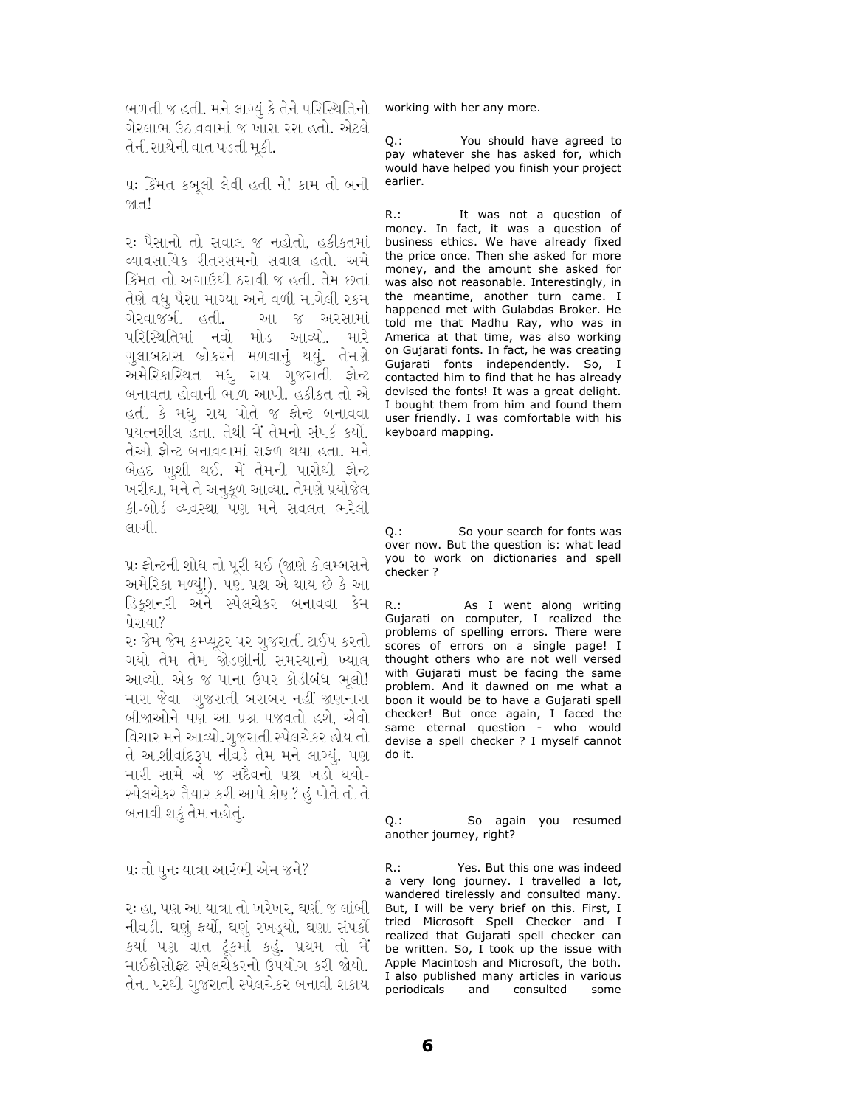ભળતી જ હતી. મને લાગ્યું કે તેને પરિસ્થિતિનો working with her any more. ગેરલાભ ઉઠાવવામાં જ ખાસ રસ હતો. એટલે તેની સાથેની વાત પડતી મૂકી.

પ્રઃ કિંમત કબુલી લેવી હતી ને! કામ તો બની **I**<sub>D</sub>

રઃ પૈસાનો તો સવાલ જ નહોતો, હકીકતમાં વ્યાવસાયિક રીતરસમનો સવાલ હતો. અમે કિંમત તો અગાઉથી ઠરાવી જ હતી. તેમ છતાં તેણે વધુ પૈસા માગ્યા અને વળી માગેલી ૨કમ <u>ोस्वाજબી हिती.</u> આ જ અરસામાં પરિસ્થિતિમાં નવો મોડ આવ્યો. મારે ગલાબદાસ બ્રોકરને મળવાનું થયું. તેમણે અમેરિકાસ્થિત મધુ રાય ગુજરાતી ફોન્ટ બનાવતા હોવાની ભાળ આપી. હકીકત તો એ હતી કે મધુ રાય પોતે જ ફોન્ટ બનાવવા પ્રયત્નશીલ હતા. તેથી મેં તેમનો સંપર્ક કર્યો. તેઓ ફોન્ટ બનાવવામાં સફળ થયા હતા. મને બેહદ ખુશી થઈ. મેં તેમની પાસેથી ફોન્ટ ખરીદ્યા, મને તે અનુકૂળ આવ્યા. તેમણે પ્રયોજેલ કી-બોર્ડ વ્યવસ્થા પણ મને સવલત ભરેલી લાગી.

પ્ર: ફ્રોન્ટની શોધ તો પરી થઈ (જાણે કોલમ્બસને અમેરિકા મળ્યું!). પણ પ્રશ્ન એ થાય છે કે આ ડિક્શનરી અને સ્પેલચેકર બનાવવા કેમ પ્રેરાયા?

રઃ જેમ જેમ કમ્પ્યુટર પર ગુજરાતી ટાઈપ કરતો\_ ગયો તેમ તેમ જોડણીની સમસ્યાનો ખ્યાલ આવ્યો. એક જ પાના ઉપર કોડીબંધ ભૂલો! મારા જેવા ગુજરાતી બરાબર નહીં જાણનારા બીજાઓને પણ આ પ્રશ્ન પજવતો હશે, એવો વિચાર મને આવ્યો.ગુજરાતી સ્પેલચેકર હોય તો તે આશીર્વાદરૂપ નીવડે તેમ મને લાગ્યં. પણ મારી સામે એ જ સદૈવનો પ્રશ્ન ખડો થયો-સ્પેલચેકર તૈયાર કરી આપે કોણ? હું પોતે તો તે બનાવી શકું તેમ નહોતું.

પ્રઃ તો પુનઃ યાત્રા આરંભી એમ જને?

રઃ હા. પણ આ યાત્રા તો ખરેખર. ઘણી જ લાંબી નીવડી. ઘણું ફર્યો, ઘણું રખડ્યો, ઘણા સંપર્કો કર્યા પણ વાત ટૂંકમાં કહું. પ્રથમ તો મેં માઈક્રોસોફ્ટ સ્પેલચેકરનો ઉપયોગ કરી જોયો. તેના પરથી ગજરાતી સ્પેલચેકર બનાવી શકાય

 $O.:$ You should have agreed to pay whatever she has asked for, which would have helped you finish your project earlier.

It was not a question of  $R_{\cdot}$ : money. In fact, it was a question of<br>business ethics. We have already fixed the price once. Then she asked for more money, and the amount she asked for was also not reasonable. Interestingly, in the meantime, another turn came. I happened met with Gulabdas Broker. He told me that Madhu Ray, who was in America at that time, was also working on Gujarati fonts. In fact, he was creating Gujarati fonts independently. So, I contacted him to find that he has already devised the fonts! It was a great delight. I bought them from him and found them user friendly. I was comfortable with his keyboard mapping.

So your search for fonts was Q.: over now. But the question is: what lead you to work on dictionaries and spell checker ?

As I went along writing  $R$ .: Gujarati on computer, I realized the problems of spelling errors. There were scores of errors on a single page! I thought others who are not well versed with Gujarati must be facing the same problem. And it dawned on me what a boon it would be to have a Gujarati spell checker! But once again, I faced the same eternal question - who would devise a spell checker ? I myself cannot do it.

So again you resumed 0 : another journey, right?

Yes. But this one was indeed  $R:$ a very long journey. I travelled a lot, wandered tirelessly and consulted many. But, I will be very brief on this. First, I tried Microsoft Spell Checker and I realized that Gujarati spell checker can be written. So, I took up the issue with Apple Macintosh and Microsoft, the both. I also published many articles in various periodicals and consulted some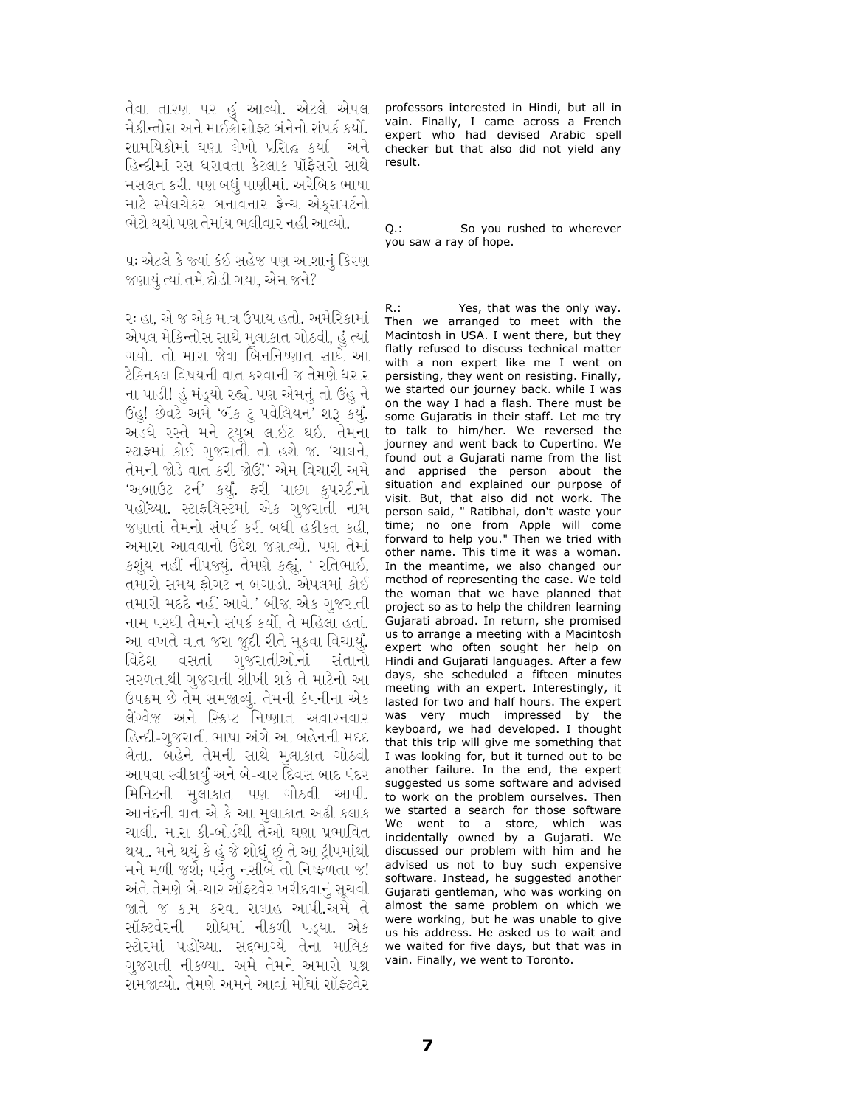તેવા તારણ પર હું આવ્યો. એટલે એપલ મેકીન્તોસ અને માઈક્રોસોફ્ટ બંનેનો સંપર્ક કર્યો. સામયિકોમાં ઘણા લેખો પ્રસિદ્ધ કર્યા અને હિન્દીમાં રસ ધરાવતા કેટલાક પ્રૉફેસરો સાથે મસલત કરી. પણ બધું પાણીમાં. અરેબિક ભાષા માટે સ્પેલચેકર બનાવનાર ફ્રેન્ચ એકુસપર્ટનો ભેટો થયો પણ તેમાંય ભલીવાર નહીં આવ્યો.

પ્રઃ એટલે કે જ્યાં કંઈ સહેજ પણ આશાનું કિરણ જણાયું ત્યાં તમે દોડી ગયા, એમ જને?

રઃ હા, એ જ એક માત્ર ઉપાય હતો. અમેરિકામાં એપલ મેકિન્તોસ સાથે મુલાકાત ગોઠવી, હું ત્યાં ગયો. તો મારા જેવા બિનનિષ્ણાત સાથે આ ટેક્નિકલ વિષયની વાત કરવાની જ તેમણે ધરાર ના પાડી! હું મંડ્યો રહ્યો પણ એમનું તો ઉહુ ને ઉંહુ! છેવટે અમે 'બૅક ટુ પવેલિયન' શરૂ કર્યું. અડધે રસ્તે મને ટ્યૂબ લાઈટ થઈ. તેમના સ્ટાફમાં કોઈ ગુજરાતી તો હશે જ. 'ચાલને, તેમની જોડે વાત કરી જોઉં!' એમ વિચારી અમે 'અબાઉટ ટર્ન' કર્યું. ફરી પાછા કુપરટીનો પહોંચ્યા. સ્ટાફલિસ્ટમાં એક ગુજરાતી નામ જણાતાં તેમનો સંપર્ક કરી બધી હકીકત કહી, અમારા આવવાનો ઉદ્દેશ જણાવ્યો. પણ તેમાં કશુંય નહીં નીપજ્યું. તેમણે કહ્યું, ' રતિભાઈ, તમારો સમય ફોગટ ન બગાડો. એપલમાં કોઈ તમારી મદદે નહીં આવે.' બીજા એક ગુજરાતી નામ પરથી તેમનો સંપર્ક કર્યો, તે મહિલા હતાં. આ વખતે વાત જરા જુદી રીતે મૂકવા વિચાર્યું. વિદેશ વસતાં ગુજરાતીઓનાં સંતાનો સરળતાથી ગુજરાતી શીખી શકે તે માટેનો આ ઉપક્રમ છે તેમ સમજાવ્યું. તેમની કંપનીના એક લેંગ્વેજ અને સ્ક્રિપ્ટ નિપ્ણાત અવારનવાર હિન્દી-ગુજરાતી ભાષા અંગે આ બહેનની મદદ લેતા. બહેને તેમની સાથે મુલાકાત ગોઠવી આપવા સ્વીકાર્યું અને બે-ચાર દિવસ બાદ પંદર મિનિટની મુલાકાત પણ ગોઠવી આપી. આનંદની વાત એ કે આ મુલાકાત અઢી કલાક ચાલી. મારા કી-બોર્ડથી તેઓ ઘણા પ્રભાવિત થયા. મને થયું કે હું જે શોધું છું તે આ ટ્રીપમાંથી મને મળી જશે, પરંતુ નસીબે તો નિષ્ફળતા જ! અંતે તેમણે બે-ચાર સૉફ્ટવેર ખરીદવાનું સૂચવી જાતે જ કામ કરવા સલાહ આપી.અમે તે સૉફ્ટવેરની શોધમાં નીકળી પડ્યા. એક સ્ટોરમાં પહોંચ્યા. સદ્દભાગ્યે તેના માલિક ગુજરાતી નીકળ્યા. અમે તેમને અમારો પ્રશ્ન સમજાવ્યો. તેમણે અમને આવાં મોંઘાં સૉફ્ટવેર

professors interested in Hindi, but all in vain. Finally, I came across a French expert who had devised Arabic spell checker but that also did not yield any result.

 $Q_{\cdot}$ : So you rushed to wherever you saw a ray of hope.

 $R_{\cdot}$ : Yes, that was the only way. Then we arranged to meet with the Macintosh in USA. I went there, but they flatly refused to discuss technical matter with a non expert like me I went on persisting, they went on resisting. Finally, we started our journey back. while I was on the way I had a flash. There must be some Gujaratis in their staff. Let me try to talk to him/her. We reversed the journey and went back to Cupertino. We found out a Gujarati name from the list and apprised the person about the situation and explained our purpose of visit. But, that also did not work. The person said, " Ratibhai, don't waste your time; no one from Apple will come forward to help you." Then we tried with other name. This time it was a woman. In the meantime, we also changed our method of representing the case. We told the woman that we have planned that project so as to help the children learning Gujarati abroad. In return, she promised us to arrange a meeting with a Macintosh expert who often sought her help on Hindi and Gujarati languages. After a few days, she scheduled a fifteen minutes meeting with an expert. Interestingly, it lasted for two and half hours. The expert was very much impressed by the keyboard, we had developed. I thought that this trip will give me something that I was looking for, but it turned out to be another failure. In the end, the expert suggested us some software and advised to work on the problem ourselves. Then we started a search for those software We went to a store, which was incidentally owned by a Gujarati. We discussed our problem with him and he advised us not to buy such expensive software. Instead, he suggested another Gujarati gentleman, who was working on almost the same problem on which we were working, but he was unable to give us his address. He asked us to wait and we waited for five days, but that was in vain. Finally, we went to Toronto.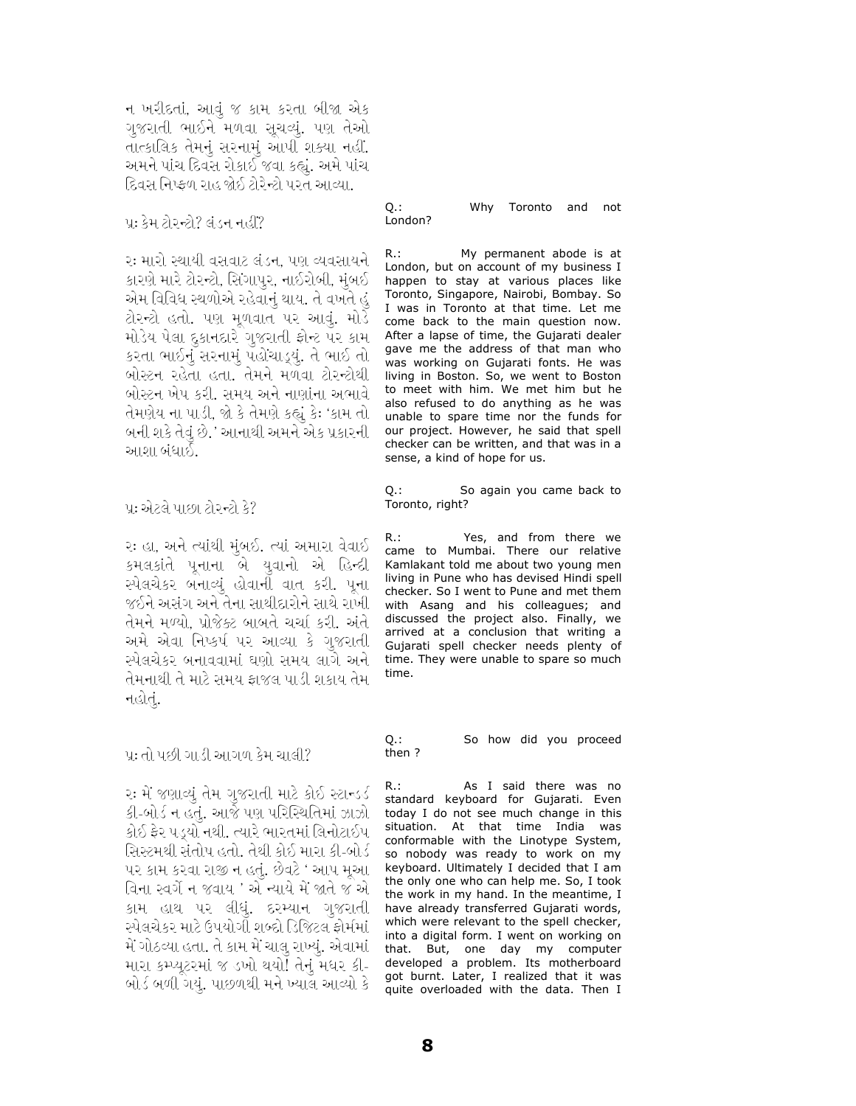ન ખરીદતાં. આવં જ કામ કરતા બીજા એક ગજરાતી ભાઈને મળવા સચવ્યં. પણ તેઓ તાત્કાલિક તેમનું સરનામું આપી શક્યા નહીં. અમને પાંચ દિવસ રોકાઈ જવા કહ્યું. અમે પાંચ દિવસ નિષ્ફળ રાહ જોઈ ટોરેન્ટો પરત આવ્યા.

પ્ર: કેમ ટોરન્ટો? લંડન નહીં?

રઃ મારો સ્થાયી વસવાટ લંડન, પણ વ્યવસાયને કારણે મારે ટોરન્ટો, સિંગાપુર, નાઈરોબી, મુંબઈ એમ વિવિધ સ્થળોએ રહેવાનું થાય. તે વખતે હું ટોરન્ટો હતો. પણ મૂળવાત પર આવું. મોડે મોડેય પેલા દુકાનદારે ગુજરાતી ફોન્ટ પર કામ કરતા ભાઈનું સરનામું પહોંચાડ્યું. તે ભાઈ તો બોસ્ટન રહેતા હતા. તેમને મળવા ટોરન્ટોથી બોસ્ટન ખેપ કરી. સમય અને નાણાંના અભાવે તેમણેય ના પાડી, જો કે તેમણે કહ્યું કેઃ 'કામ તો બની શકે તેવું છે.' આનાથી અમને એક પ્રકારની આશા બંધાઈ.

પ્ર: એટલે પાછા ટોરન્ટો કે?

રઃ હા, અને ત્યાંથી મુંબઈ. ત્યાં અમારા વેવાઈ કમલકાંતે પૂનાના બે યુવાનો એ હિન્દી સ્પેલચેકર બનાવ્યું હોવાની વાત કરી. પૂના જઈને અસંગ અને તેના સાથીદારોને સાથે રાખી તેમને મળ્યો, પ્રોજેક્ટ બાબતે ચર્ચા કરી. અંતે અમે એવા નિષ્કર્ષ પર આવ્યા કે ગુજરાતી સ્પેલચેકર બનાવવામાં ઘણો સમય લાગે અને તેમનાથી તે માટે સમય ફાજલ પાડી શકાય તેમ નહોતું.

પ્ર: તો પછી ગાડી આગળ કેમ ચાલી?

રઃ મેં જણાવ્યું તેમ ગુજરાતી માટે કોઈ સ્ટાન્ડર્ડ કી-બોર્ડ ન હતું. આજે પણ પરિસ્થિતિમાં ઝાઝો કોઈ ફેર પડ્યો નથી. ત્યારે ભારતમાં લિનોટાઈપ સિસ્ટમથી સંતોષ હતો. તેથી કોઈ મારા કી-બોર્ડ પર કામ કરવા રાજી ન હતું. છેવટે ' આપ મૂઆ વિના સ્વર્ગે ન જવાય ' એ ન્યાયે મેં જાતે જ એ કામ હાથ પર લીધું. દરમ્યાન ગુજરાતી સ્પેલચેકર માટે ઉપયોગી શબ્દો ડિજિટલ ફોર્મમાં મેં ગોઠવ્યા હતા. તે કામ મેં ચાલુ રાખ્યું. એવામાં મારા કમ્પ્યૂટરમાં જ ડખો થયો! તેનું મધર કી-બોર્ડ બળી ગયું. પાછળથી મને ખ્યાલ આવ્યો કે

Why Toronto Q.: and not London?

My permanent abode is at  $R_{\cdot}$ : London, but on account of my business I happen to stay at various places like Toronto, Singapore, Nairobi, Bombay. So I was in Toronto at that time. Let me come back to the main question now. After a lapse of time, the Gujarati dealer gave me the address of that man who was working on Gujarati fonts. He was living in Boston. So, we went to Boston to meet with him. We met him but he also refused to do anything as he was unable to spare time nor the funds for our project. However, he said that spell checker can be written, and that was in a sense, a kind of hope for us.

0.: So again you came back to Toronto, right?

 $R_{\cdot}$ : Yes, and from there we came to Mumbai. There our relative Kamlakant told me about two young men living in Pune who has devised Hindi spell checker. So I went to Pune and met them with Asang and his colleagues; and discussed the project also. Finally, we arrived at a conclusion that writing a Gujarati spell checker needs plenty of time. They were unable to spare so much time.

 $Q_{\cdot}$ : So how did you proceed then?

 $R:$ As I said there was no standard keyboard for Gujarati. Even today I do not see much change in this situation. At that time India was conformable with the Linotype System, so nobody was ready to work on my keyboard. Ultimately I decided that I am the only one who can help me. So, I took the work in my hand. In the meantime, I have already transferred Gujarati words, which were relevant to the spell checker, into a digital form. I went on working on that. But, one day my computer developed a problem. Its motherboard got burnt. Later, I realized that it was quite overloaded with the data. Then I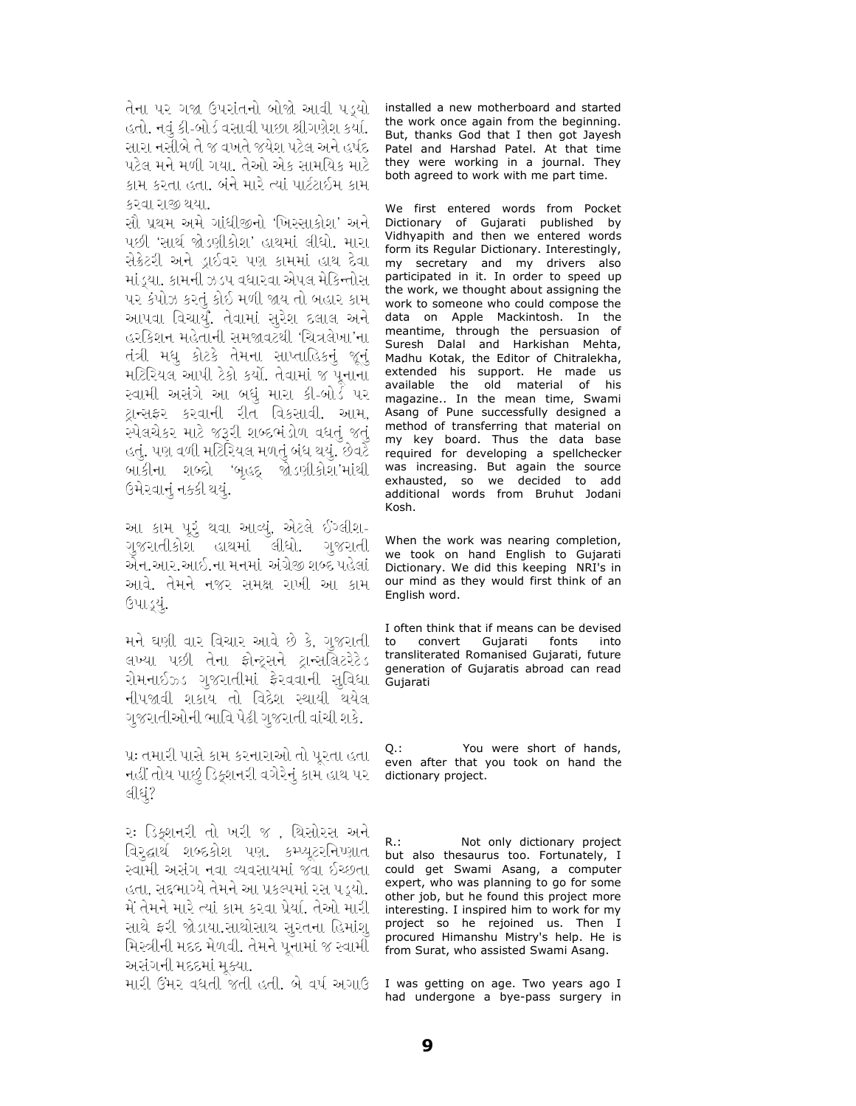તેના પર ગજા ઉપરાંતનો બોજો આવી પડયો હતો. નવું કી-બોર્ડ વસાવી પાછા શ્રીગણેશ કર્યા. સારા નસીબે તે જ વખતે જયેશ પટેલ અને હર્ષદ પટેલ મને મળી ગયા. તેઓ એક સામયિક માટે કામ કરતા હતા. બંને મારે ત્યાં પાર્ટટાઈમ કામ કરવા રાજી થયા.

સૌ પ્રથમ અમે ગાંધીજીનો 'ખિસ્સાકોશ' અને પછી 'સાર્થ જોડણીકોશ' હાથમાં લીધો. મારા સેક્રેટરી અને ડ્રાઈવર પણ કામમાં હાથ દેવા માંડ્યા. કામની ઝડપ વધારવા એપલ મેકિન્તોસ પર કંપોઝ કરતું કોઈ મળી જાય તો બહાર કામ આપવા વિચાર્યું. તેવામાં સૂરેશ દલાલ અને હરકિશન મહેતાની સમજાવટથી 'ચિત્રલેખા'ના તંત્રી મધુ કોટકે તેમના સાપ્તાહિકનું જૂનું મટિરિયલ આપી ટેકો કર્યો. તેવામાં જ પૂનાના સ્વામી અસંગે આ બધું મારા કી-બોર્ડ પર ટ્રાન્સફર કરવાની રીત વિકસાવી. આમ, સ્પેલચેકર માટે જરૂરી શબ્દભંડોળ વધતું જતું હતું. પણ વળી મટિરિયલ મળતું બંધ થયું. છેવટે બાકીના શબ્દો 'બૃહદ્ જોડણીકોશ'માંથી ઉમેરવાનું નક્કી થયું.

આ કામ પૂરૂં થવા આવ્યું, એટલે ઈગ્લીશ-ગુજરાતીકોશ હાથમાં લીધો. ગુજરાતી એન.આર.આઈ.ના મનમાં અંગ્રેજી શબ્દ પહેલાં આવે. તેમને નજર સમક્ષ રાખી આ કામ ઉપાડ્યું.

મને ઘણી વાર વિચાર આવે છે કે, ગુજરાતી લખ્યા પછી તેના ફોન્ટ્સને ટ્રાન્સલિટરેટેડ રોમનાઈઝ્ડ ગુજરાતીમાં ફેરવવાની સુવિધા નીપજાવી શકાય તો વિદેશ સ્થાયી થયેલ ગુજરાતીઓની ભાવિ પેઢી ગુજરાતી વાંચી શકે.

પ્રઃ તમારી પાસે કામ કરનારાઓ તો પુરતા હતા નહીં તોય પાછું ડિક્શનરી વગેરેનું કામ હાથ પર લીધું?

રઃ ડિક્શનરી તો ખરી જ , થિસોરસ અને વિરૂદ્ધાર્થ શબ્દકોશ પણ. કમ્પ્યૂટરનિષ્ણાત સ્વામી અસંગ નવા વ્યવસાયમાં જવા ઈચ્છતા હતા, સદ્દભાગ્યે તેમને આ પ્રકલ્પમાં રસ પડ્યો. મેં તેમને મારે ત્યાં કામ કરવા પ્રેયાં. તેઓ મારી સાથે ફરી જોડાયા.સાથોસાથ સુરતના હિમાંશુ મિસ્ત્રીની મદદ મેળવી. તેમને પુનામાં જ સ્વામી અસંગની મદદમાં મુક્યા.

મારી ઉંમર વધતી જતી હતી. બે વર્ષ અગાઉ

installed a new motherboard and started the work once again from the beginning. But, thanks God that I then got Jayesh Patel and Harshad Patel. At that time they were working in a journal. They both agreed to work with me part time.

We first entered words from Pocket Dictionary of Gujarati published by Vidhyapith and then we entered words form its Regular Dictionary. Interestingly, my secretary and my drivers also participated in it. In order to speed up the work, we thought about assigning the work to someone who could compose the data on Apple Mackintosh. In the meantime, through the persuasion of Suresh Dalal and Harkishan Mehta, Madhu Kotak, the Editor of Chitralekha, extended his support. He made us available the old material of his magazine.. In the mean time, Swami Asang of Pune successfully designed a method of transferring that material on my key board. Thus the data base required for developing a spellchecker was increasing. But again the source exhausted, so we decided to add additional words from Bruhut Jodani Kosh

When the work was nearing completion, we took on hand English to Gujarati Dictionary. We did this keeping NRI's in our mind as they would first think of an English word.

I often think that if means can be devised to convert Gujarati fonts into transliterated Romanised Gujarati, future generation of Gujaratis abroad can read Gujarati

You were short of hands, 0 : even after that you took on hand the dictionary project.

 $R$ .: Not only dictionary project but also thesaurus too. Fortunately, I could get Swami Asang, a computer expert, who was planning to go for some other job, but he found this project more interesting. I inspired him to work for my project so he rejoined us. Then I procured Himanshu Mistry's help. He is from Surat, who assisted Swami Asang.

I was getting on age. Two years ago I had undergone a bye-pass surgery in

9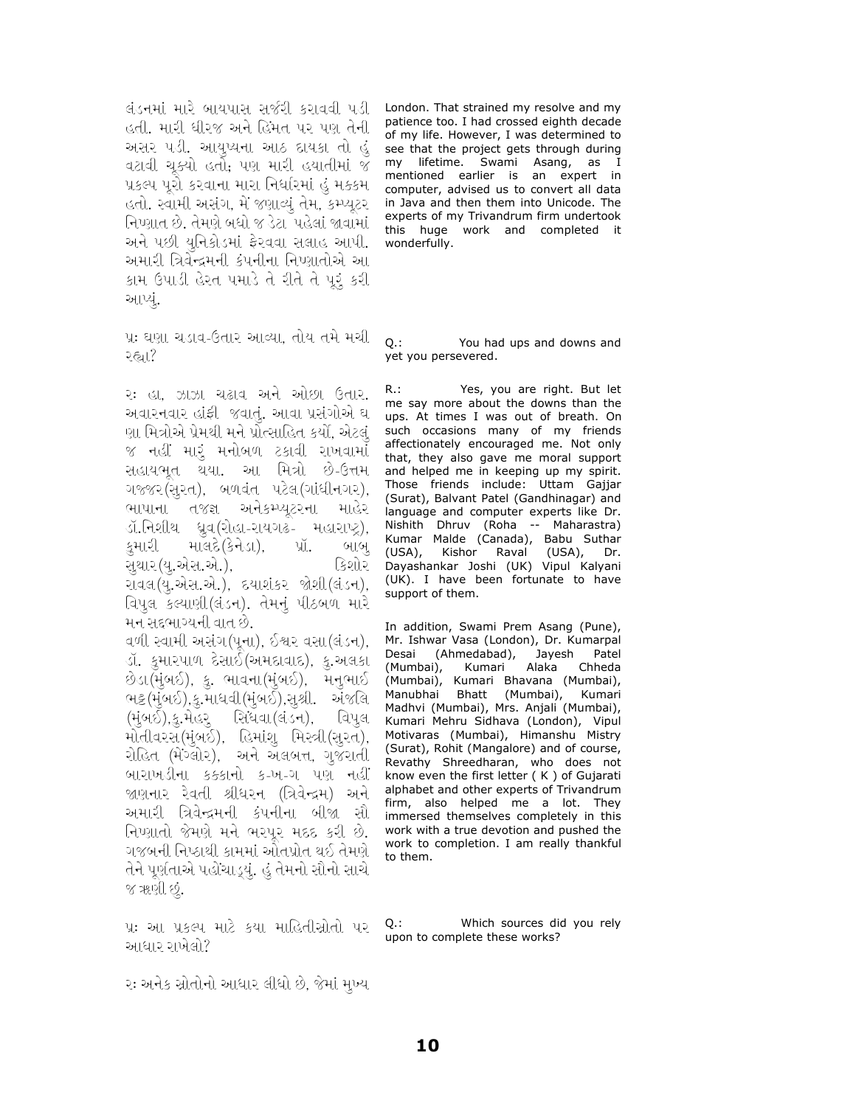લંડનમાં મારે બાયપાસ સર્જરી કરાવવી પડી London. That strained my resolve and my હતી. મારી ધીરજ અને હિંમત પર પણ તેની અસર પડી. આયુપ્યના આઠ દાયકા તો હું વટાવી ચૂક્યો હતો; પણ મારી હયાતીમાં જ પ્રકલ્પ પુરો કરવાના મારા નિર્ધારમાં હું મક્કમ\_ હતો. સ્વામી અસંગ, મેં જણાવ્યું તેમ, કમ્પ્યૂટર નિપ્ણાત છે. તેમણે બધો જ ડેટા પહેલાં જાવામાં અને પછી યુનિકોડમાં ફેરવવા સલાહ આપી. અમારી ત્રિવેન્દ્રમની કંપનીના નિપ્ણાતોએ આ કામ ઉપાડી હેરત પમાડે તે રીતે તે પૂરૂં કરી આપ્યં.

પ્રઃ ઘણા ચડાવ-ઉતાર આવ્યા, તોય તમે મચી २६॥?

રઃ હા. ઝાઝા ચઢાવ અને ઓછા ઉતાર. અવારનવાર હાંફી જવાતું. આવા પ્રસંગોએ ઘ ણા મિત્રોએ પ્રેમથી મને પ્રોત્સાહિત કર્યો. એટલં જ નહીં મારૂં મનોબળ ટકાવી રાખવામાં સહાયભૂત થયા. આ મિત્રો છે-ઉત્તમ ગજ્જર(સૂરત), બળવંત પટેલ(ગાંધીનગર), ભાષાના તજજ્ઞ અનેકમ્પ્યુટરના માહેર ડૉ.નિશીથ ધ્રુવ(રોહા-રાયગઢ- મહારાપ્ટ્ર), માલદે(કેનેડા), પ્રૉ. કુમારી બાબુ સથાર(ય.એસ.એ.). કિશોર રાવલ(યૂ.એસ.એ.), દયાશંકર જોશી(લંડન), વિપુલ કલ્યાણી (લંડન). તેમનું પીઠબળ મારે મન સદ્દભાગ્યની વાત છે. વળી સ્વામી અસંગ(પૂના), ઈશ્વર વસા(લંડન), ડૉ. કુમારપાળ દેસાઈ(અમદાવાદ), કુ.અલકા છેડા(મુંબઈ), કુ. ભાવના(મુંબઈ), મનુભાઈ ભટ્ટ(મુંબઈ),કુ.માધવી(મુંબઈ),સુશ્રી. અંજલિ (મુંબઈ),કુ.મેહરૂ સિંધવા(લંડન), વિપુલ

મોતીવરસ(મુંબઈ), હિમાંશુ મિસ્ત્રી(સુરત), રોહિત (મંગ્લોર), અને અલબત્ત, ગુજરાતી બારાખડીના કક્કાનો ક-ખ-ગ પણ નહીં જાણનાર રેવતી શ્રીધરન (ત્રિવેન્દ્રમ) અને અમારી ત્રિવેન્દ્રમની કંપનીના બીજા સૌ નિપ્ણાતો જેમણે મને ભરપર મદદ કરી છે. ગજબની નિષ્ઠાથી કામમાં ઓતપ્રોત થઈ તેમણે તેને પૂર્ણતાએ પહોંચાડ્યું. હું તેમનો સૌનો સાચે જ ૠણી છું.

પ્રઃ આ પ્રકલ્પ માટે કયા માહિતીસ્રોતો પર આધાર રાખેલો?

patience too. I had crossed eighth decade of my life. However, I was determined to see that the project gets through during my lifetime. Swami Asang, as I<br>mentioned earlier is an expert in computer, advised us to convert all data in Java and then them into Unicode. The experts of my Trivandrum firm undertook this huge work and completed it wonderfully.

 $O.$ : You had ups and downs and yet you persevered.

Yes, you are right. But let  $R_{\cdot}$ : me say more about the downs than the ups. At times I was out of breath. On such occasions many of my friends affectionately encouraged me. Not only that, they also gave me moral support and helped me in keeping up my spirit. Those friends include: Uttam Gajjar (Surat), Balvant Patel (Gandhinagar) and language and computer experts like Dr. Nishith Dhruv (Roha -- Maharastra) Kumar Malde (Canada), Babu Suthar  $(USA)$ , Kishor Raval (USA), Dr. Dayashankar Joshi (UK) Vipul Kalyani (UK). I have been fortunate to have support of them.

In addition, Swami Prem Asang (Pune), Mr. Ishwar Vasa (London), Dr. Kumarpal Desai (Ahmedabad), Jayesh Patel (Mumbai), Kumari Alaka Chheda (Mumbai), Kumari Bhavana (Mumbai), Manubhai Bhatt (Mumbai), Kumari Madhvi (Mumbai), Mrs. Anjali (Mumbai), Kumari Mehru Sidhava (London), Vipul Motivaras (Mumbai), Himanshu Mistry (Surat), Rohit (Mangalore) and of course, Revathy Shreedharan, who does not know even the first letter (K) of Gujarati alphabet and other experts of Trivandrum firm, also helped me a lot. They immersed themselves completely in this work with a true devotion and pushed the work to completion. I am really thankful to them.

Q.: Which sources did you rely upon to complete these works?

રઃ અનેક સ્રોતોનો આધાર લીધો છે. જેમાં મખ્ય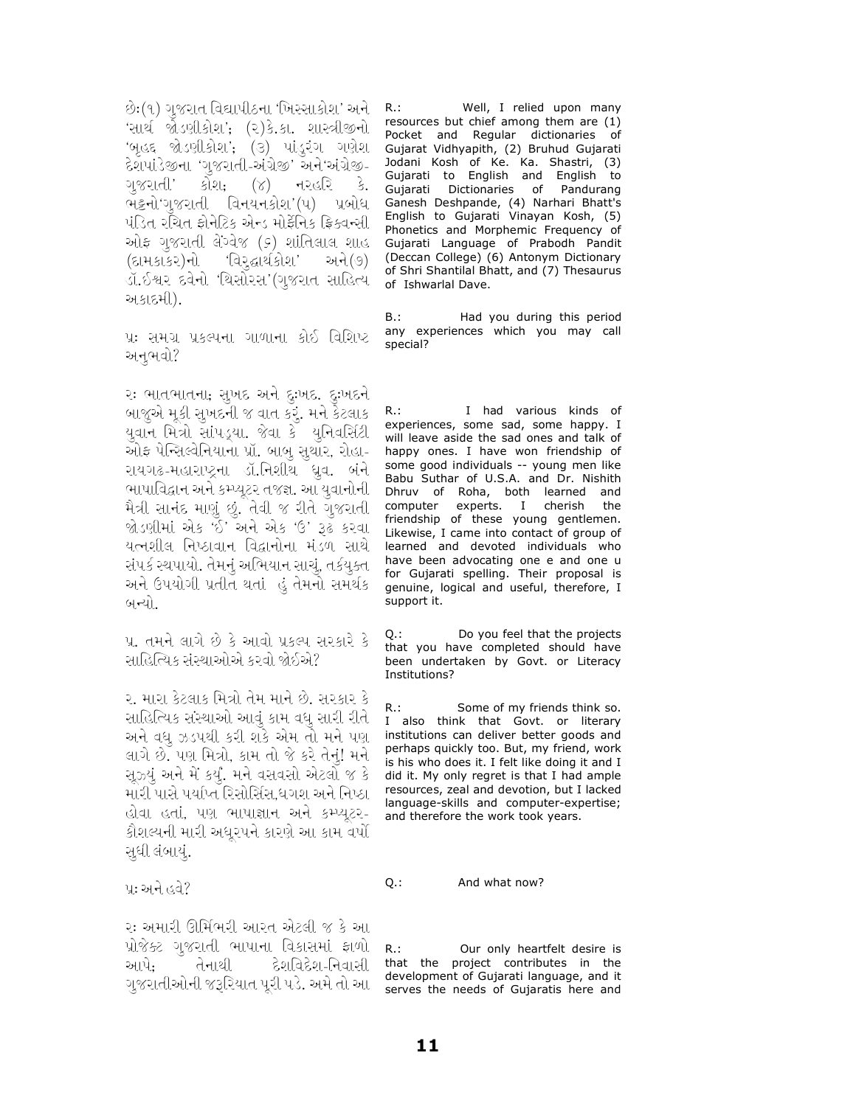છેઃ(૧) ગુજરાત વિદ્યાપીઠના 'ખિસ્સાકોશ' અને \_R.:\_ 'સાર્થ જોડણીકોશ'; (૨)કે.કા. શાસ્ત્રીજીનો 'બૃહદ જોડણીકોશ'; (૩) પાંડુરંગ ગણેશ દેશપાંડેજીના 'ગુજરાતી-અંગ્રેજી' અને'અંગ્રેજી-નરહરિ કે. ગુજરાતી' કોશ;  $(\lambda)$ ભટ્ટનો'ગુજરાતી વિનયનકોશ'(૫) પ્રબોધ પંડિત રચિત ફોનેટિક એન્ડ મોર્ફેનિક ફ્રિક્વન્સી ઓફ ગુજરાતી લેંગ્વેજ (૬) શાંતિલાલ શાહ (દામકાકર)નો 'વિરૂદ્ધાર્થકોશ' અને(૭) ડૉ.ઈશ્વર દવેનો 'થિસોરસ'(ગુજરાત સાહિત્ય અકાદમી).

પ્રઃ સમગ્ર પ્રકલ્પના ગાળાના કોઈ વિશિષ્ટ અનભવો?

રઃ ભાતભાતના, સુખદ અને દુઃખદ. દુઃખદને બાજુએ મૂકી સુખદની જ વાત કરૂં. મને કેટલાક યુવાન મિત્રો સાંપડ્યા. જેવા કે યુનિવર્સિટી ઓફ પેન્સિલ્વેનિયાના પ્રૉ. બાબુ સુથાર, રોહા-રાયગઢ-મહારાષ્ટ્રના ડૉ.નિશીથ ધ્રુવ. બંને ભાષાવિદ્વાન અને કમ્પ્યૂટર તજજ્ઞ. આ યુવાનોની મૈત્રી સાનંદ માણું છું. તેવી જ રીતે ગુજરાતી જોડણીમાં એક 'ઈ' અને એક 'ઉ' રૂઢ કરવા યત્નશીલ નિષ્ઠાવાન વિદ્વાનોના મંડળ સાથે સંપર્ક સ્થપાયો. તેમનું અભિયાન સાચું, તર્કયુક્ત અને ઉપયોગી પ્રતીત થતાં હું તેમનો સમર્થક બન્યો.

પ્ર. તમને લાગે છે કે આવો પ્રકલ્પ સરકારે કે સાહિત્યિક સંસ્થાઓએ કરવો જોઈએ?

૨. મારા કેટલાક મિત્રો તેમ માને છે. સરકાર કે સાહિત્યિક સંસ્થાઓ આવું કામ વધુ સારી રીતે અને વધુ ઝડપથી કરી શકે એમ તો મને પણ લાગે છે. પણ મિત્રો, કામ તો જે કરે તેનું! મને સૂઝ્યું અને મેં કર્યું. મને વસવસો એટલો જ કે મારી પાસે પર્યાપ્ત રિસોર્સિસ,ધગશ અને નિષ્ઠા હોવા હતાં, પણ ભાષાજ્ઞાન અને કમ્પ્યુટર-કૌશલ્યની મારી અધુરપને કારણે આ કામ વર્ષો સુધી લંબાયું.

પ્રઃ અને હવે?

રઃ અમારી ઊર્મિભરી આરત એટલી જ કે આ પ્રોજેક્ટ ગુજરાતી ભાષાના વિકાસમાં ફાળો દેશવિદેશ-નિવાસી આપે: તેનાથી ગજરાતીઓની જરૂરિયાત પરી પડે. અમે તો આ

Well, I relied upon many resources but chief among them are (1) Pocket and Regular dictionaries of Gujarat Vidhyapith, (2) Bruhud Gujarati Jodani Kosh of Ke. Ka. Shastri, (3) Gujarati to English and English to Gujarati Dictionaries of Pandurang Ganesh Deshpande, (4) Narhari Bhatt's English to Gujarati Vinayan Kosh, (5) Phonetics and Morphemic Frequency of Gujarati Language of Prabodh Pandit (Deccan College) (6) Antonym Dictionary of Shri Shantilal Bhatt, and (7) Thesaurus of Ishwarlal Dave.

B.: Had you during this period any experiences which you may call special?

I had various kinds of  $R_{\cdot}$ : experiences, some sad, some happy. I will leave aside the sad ones and talk of happy ones. I have won friendship of some good individuals -- young men like Babu Suthar of U.S.A. and Dr. Nishith Dhruv of Roha, both learned and experts. I computer cherish the friendship of these young gentlemen. Likewise, I came into contact of group of learned and devoted individuals who have been advocating one e and one u for Gujarati spelling. Their proposal is genuine, logical and useful, therefore, I support it.

Do you feel that the projects  $Q$ .: that you have completed should have been undertaken by Govt. or Literacy Institutions?

 $R.:$ Some of my friends think so. I also think that Govt. or literary institutions can deliver better goods and perhaps quickly too. But, my friend, work is his who does it. I felt like doing it and I did it. My only regret is that I had ample resources, zeal and devotion, but I lacked language-skills and computer-expertise; and therefore the work took years.

Q.: And what now?

 $R_{\cdot}$ : Our only heartfelt desire is that the project contributes in the development of Gujarati language, and it serves the needs of Gujaratis here and